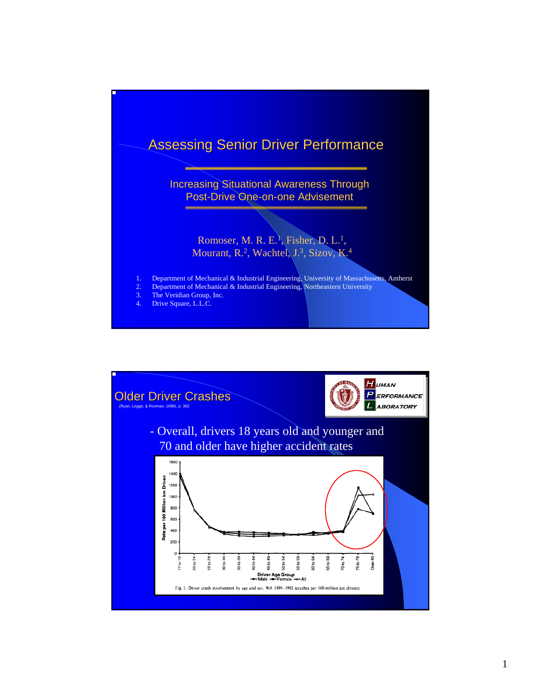## **Assessing Senior Driver Performance**

**Increasing Situational Awareness Through** Post-Drive One-on-one Advisement

> Romoser, M. R. E.<sup>1</sup>, Fisher, D. L.<sup>1</sup>, Mourant, R.<sup>2</sup>, Wachtel, J.<sup>3</sup>, Sizov, K.<sup>4</sup>

- 1. Department of Mechanical & Industrial Engineering, University of Massachusetts, Amherst
- 2. Department of Mechanical & Industrial Engineering, Northeastern University
- 3. The Veridian Group, Inc.
- 4. Drive Square, L.L.C.



1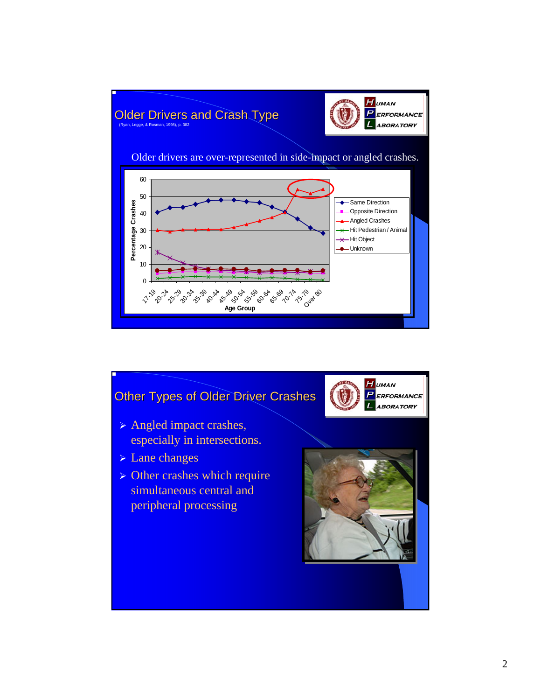

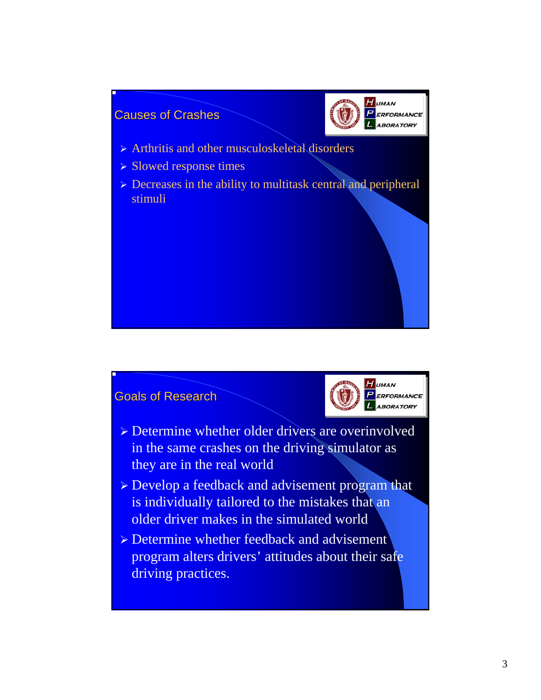### **Causes of Crashes**



- $\triangleright$  Arthritis and other musculoskeletal disorders
- $\triangleright$  Slowed response times
- $\triangleright$  Decreases in the ability to multitask central and peripheral stimuli

### **Goals of Research**



- ¾ Determine whether older drivers are overinvolved in the same crashes on the driving simulator as they are in the real world
- ¾ Develop a feedback and advisement program that is individually tailored to the mistakes that an older driver makes in the simulated world
- **Example 2** Determine whether feedback and advisement program alters drivers' attitudes about their safe driving practices.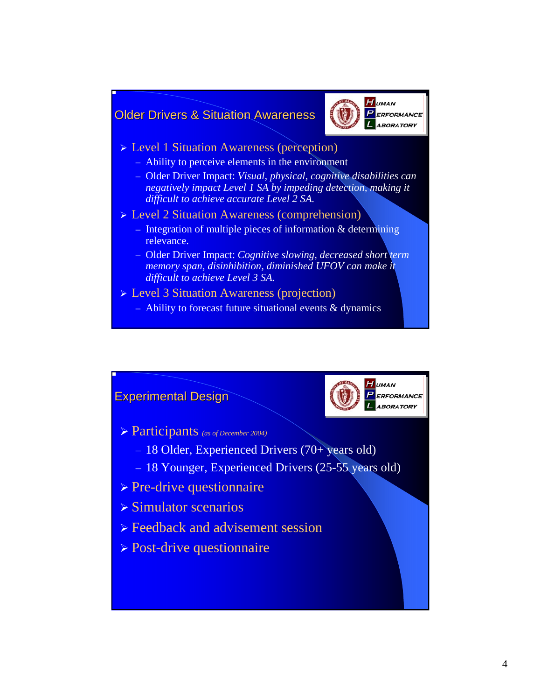### **Older Drivers & Situation Awareness**



- ¾ Level 1 Situation Awareness (perception)
	- Ability to perceive elements in the environment
	- Older Driver Impact: *Visual, physical, cognitive disabilities can negatively impact Level 1 SA by impeding detection, making it difficult to achieve accurate Level 2 SA.*
- $\triangleright$  Level 2 Situation Awareness (comprehension)
	- Integration of multiple pieces of information & determining relevance.
	- Older Driver Impact: *Cognitive slowing, decreased short term memory span, disinhibition, diminished UFOV can make it difficult to achieve Level 3 SA.*
- ¾ Level 3 Situation Awareness (projection)
	- Ability to forecast future situational events & dynamics

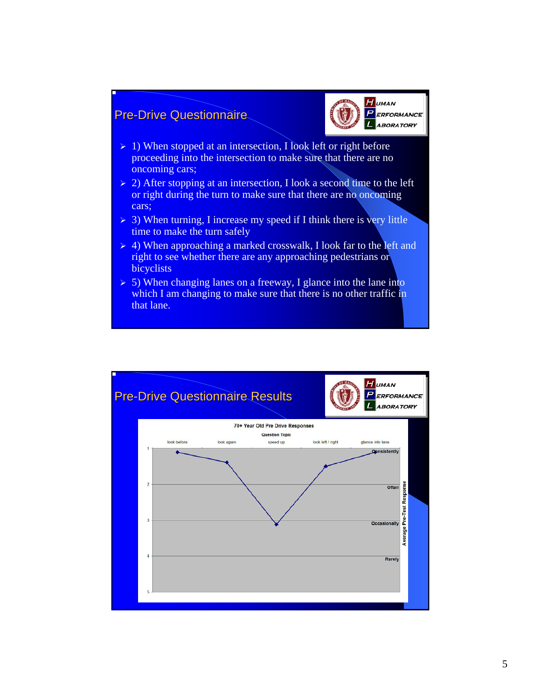### **Pre-Drive Questionnaire**



- $\geq$  1) When stopped at an intersection, I look left or right before proceeding into the intersection to make sure that there are no oncoming cars;
- $\geq$  2) After stopping at an intersection, I look a second time to the left or right during the turn to make sure that there are no oncoming cars;
- $\geq$  3) When turning, I increase my speed if I think there is very little time to make the turn safely
- $\geq$  4) When approaching a marked crosswalk, I look far to the left and right to see whether there are any approaching pedestrians or bicyclists
- $\geq$  5) When changing lanes on a freeway, I glance into the lane into which I am changing to make sure that there is no other traffic in that lane.

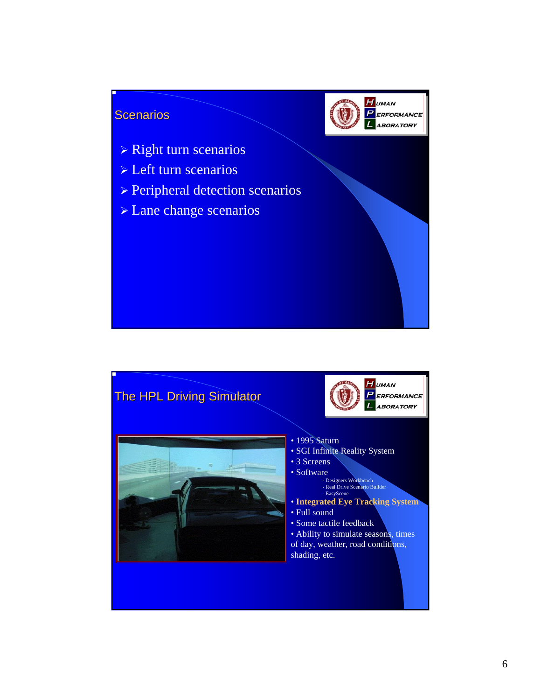### **Scenarios**



- $\triangleright$  Right turn scenarios
- $\triangleright$  Left turn scenarios
- ¾ Peripheral detection scenarios
- ¾ Lane change scenarios

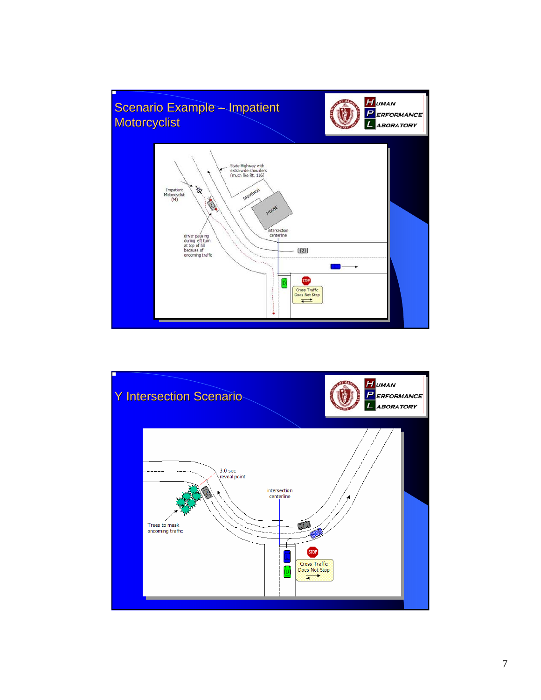

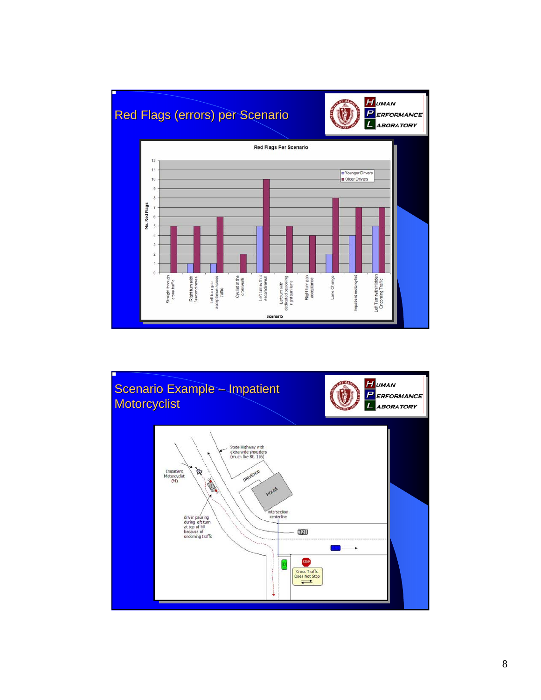

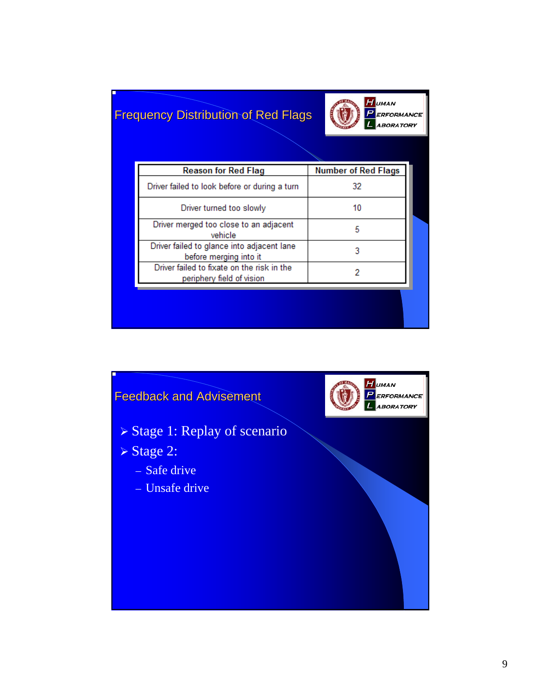# Frequency Distribution of Red Flags



| <b>Reason for Red Flag</b><br>Driver failed to look before or during a turn<br>Driver turned too slowly | <b>Number of Red Flags</b><br>32 |
|---------------------------------------------------------------------------------------------------------|----------------------------------|
|                                                                                                         |                                  |
|                                                                                                         |                                  |
|                                                                                                         | 10                               |
| Driver merged too close to an adjacent<br>vehicle                                                       | 5                                |
| Driver failed to glance into adjacent lane<br>before merging into it                                    |                                  |
| Driver failed to fixate on the risk in the<br>periphery field of vision                                 |                                  |

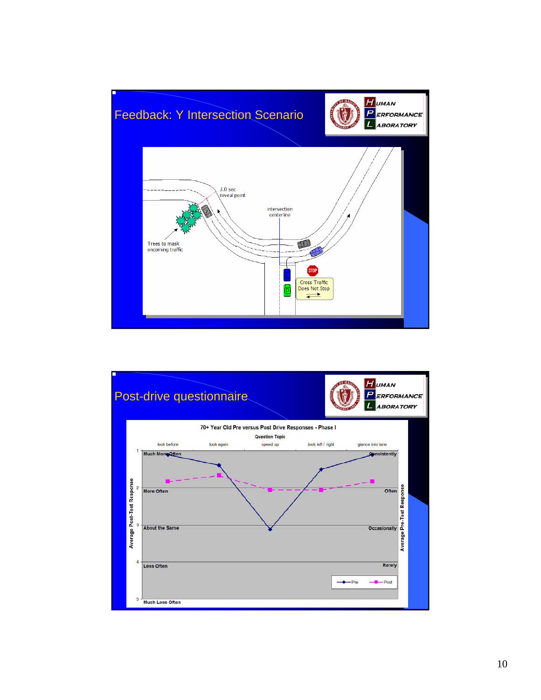

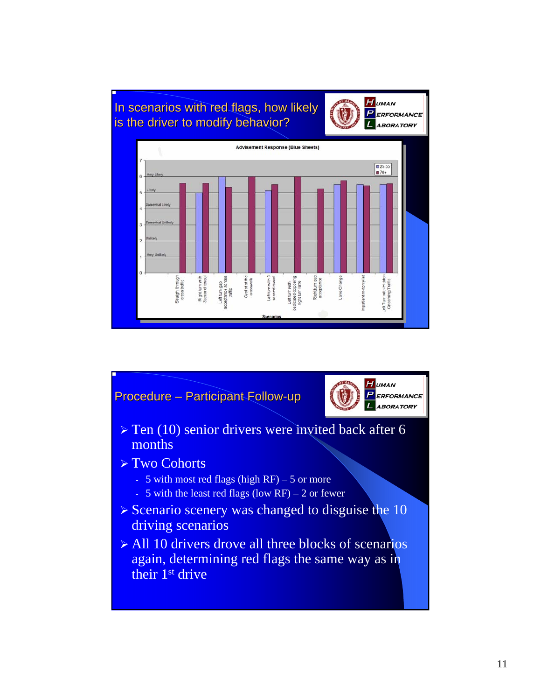In scenarios with red flags, how likely is the driver to modify behavior?



## Procedure – Participant Follow-up



**HUMAN PERFORMANCE BORATORY** 

- ¾ Ten (10) senior drivers were invited back after 6 months
- **≻ Two Cohorts** 
	- 5 with most red flags (high  $RF$ ) 5 or more
	- 5 with the least red flags (low  $RF$ ) 2 or fewer
- ¾ Scenario scenery was changed to disguise the 10 driving scenarios
- $\triangleright$  All 10 drivers drove all three blocks of scenarios again, determining red flags the same way as in their 1<sup>st</sup> drive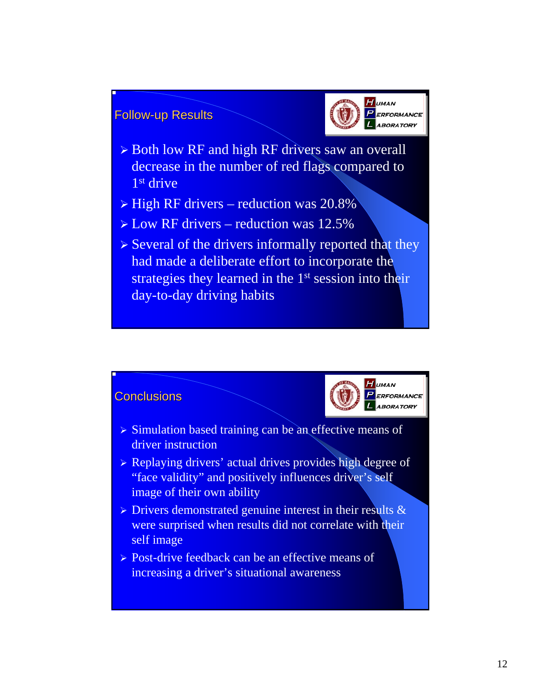### **Follow-up Results**



- ► Both low RF and high RF drivers saw an overall decrease in the number of red flags compared to 1<sup>st</sup> drive
- $\triangleright$  High RF drivers reduction was 20.8%
- $\triangleright$  Low RF drivers reduction was 12.5%
- $\triangleright$  Several of the drivers informally reported that they had made a deliberate effort to incorporate the strategies they learned in the 1<sup>st</sup> session into their day-to-day driving habits

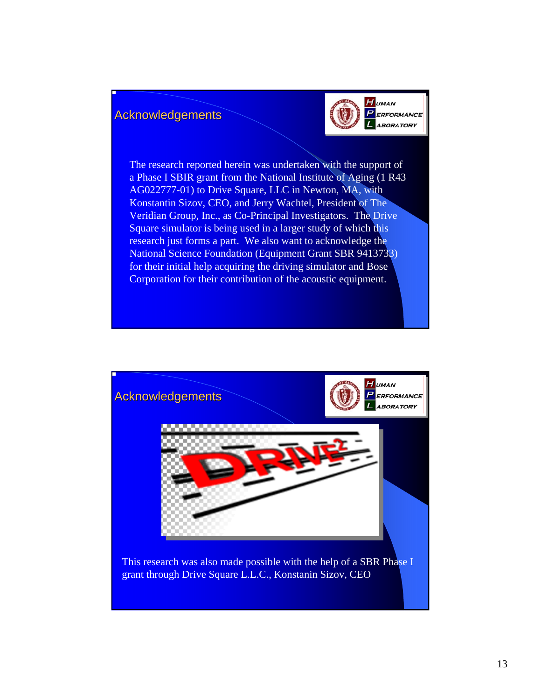#### **Acknowledgements**



The research reported herein was undertaken with the support of a Phase I SBIR grant from the National Institute of Aging (1 R43 AG022777-01) to Drive Square, LLC in Newton, MA, with Konstantin Sizov, CEO, and Jerry Wachtel, President of The Veridian Group, Inc., as Co-Principal Investigators. The Drive Square simulator is being used in a larger study of which this research just forms a part. We also want to acknowledge the National Science Foundation (Equipment Grant SBR 9413733) for their initial help acquiring the driving simulator and Bose Corporation for their contribution of the acoustic equipment.